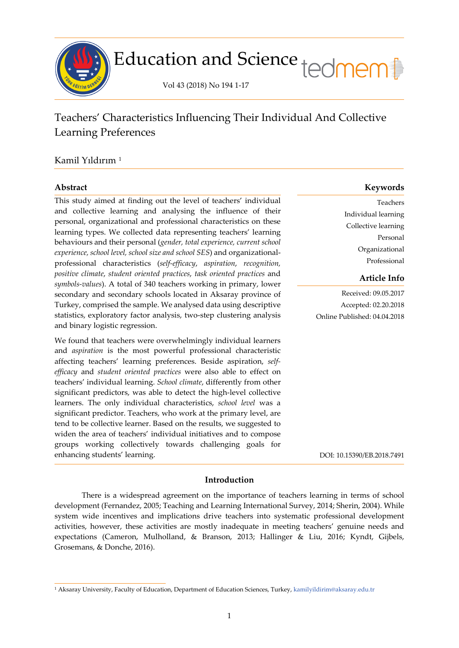

# Education and Science tedmem

Vol 43 (2018) No 194 1-17

## Teachers' Characteristics Influencing Their Individual And Collective Learning Preferences

### Kamil Yıldırım [1](#page-0-0)

í

This study aimed at finding out the level of teachers' individual and collective learning and analysing the influence of their personal, organizational and professional characteristics on these learning types. We collected data representing teachers' learning behaviours and their personal (*gender, total experience, current school experience, school level, school size and school SES*) and organizationalprofessional characteristics (*self-efficacy*, *aspiration*, *recognition, positive climate*, *student oriented practices*, *task oriented practices* and *symbols-values*). A total of 340 teachers working in primary, lower secondary and secondary schools located in Aksaray province of Turkey, comprised the sample. We analysed data using descriptive statistics, exploratory factor analysis, two-step clustering analysis and binary logistic regression.

We found that teachers were overwhelmingly individual learners and *aspiration* is the most powerful professional characteristic affecting teachers' learning preferences. Beside aspiration, *selfefficacy* and *student oriented practices* were also able to effect on teachers' individual learning. *School climate*, differently from other significant predictors, was able to detect the high-level collective learners. The only individual characteristics, *school level* was a significant predictor. Teachers, who work at the primary level, are tend to be collective learner. Based on the results, we suggested to widen the area of teachers' individual initiatives and to compose groups working collectively towards challenging goals for enhancing students' learning.

#### **Abstract Keywords**

Teachers Individual learning Collective learning Personal Organizational Professional

#### **Article Info**

Received: 09.05.2017 Accepted: 02.20.2018 Online Published: 04.04.2018

DOI: 10.15390/EB.2018.7491

#### **Introduction**

There is a widespread agreement on the importance of teachers learning in terms of school development (Fernandez, 2005; Teaching and Learning International Survey, 2014; Sherin, 2004). While system wide incentives and implications drive teachers into systematic professional development activities, however, these activities are mostly inadequate in meeting teachers' genuine needs and expectations (Cameron, Mulholland, & Branson, 2013; Hallinger & Liu, 2016; Kyndt, Gijbels, Grosemans, & Donche, 2016).

<span id="page-0-0"></span><sup>1</sup> Aksaray University, Faculty of Education, Department of Education Sciences, Turkey, [kamilyildirim@aksaray.edu.tr](mailto:kamilyildirim@aksaray.edu.tr)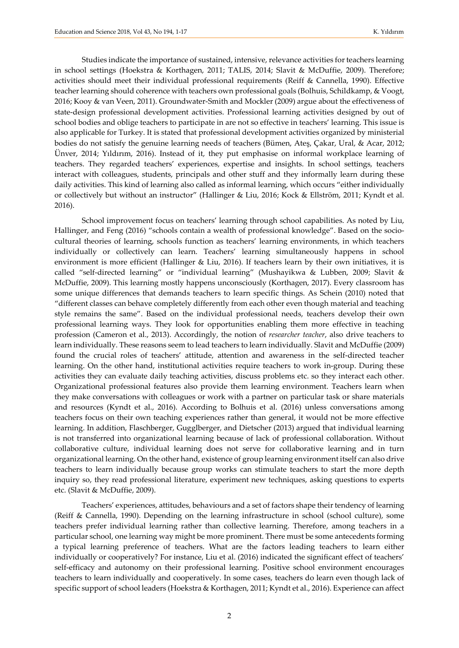Studies indicate the importance of sustained, intensive, relevance activities for teachers learning in school settings (Hoekstra & Korthagen, 2011; TALIS, 2014; Slavit & McDuffie, 2009). Therefore; activities should meet their individual professional requirements (Reiff & Cannella, 1990). Effective teacher learning should coherence with teachers own professional goals (Bolhuis, Schildkamp, & Voogt, 2016; Kooy & van Veen, 2011). Groundwater-Smith and Mockler (2009) argue about the effectiveness of state-design professional development activities. Professional learning activities designed by out of school bodies and oblige teachers to participate in are not so effective in teachers' learning. This issue is also applicable for Turkey. It is stated that professional development activities organized by ministerial bodies do not satisfy the genuine learning needs of teachers (Bümen, Ateş, Çakar, Ural, & Acar, 2012; Ünver, 2014; Yıldırım, 2016). Instead of it, they put emphasise on informal workplace learning of teachers. They regarded teachers' experiences, expertise and insights. In school settings, teachers interact with colleagues, students, principals and other stuff and they informally learn during these daily activities. This kind of learning also called as informal learning, which occurs "either individually or collectively but without an instructor" (Hallinger & Liu, 2016; Kock & Ellström, 2011; Kyndt et al. 2016).

School improvement focus on teachers' learning through school capabilities. As noted by Liu, Hallinger, and Feng (2016) "schools contain a wealth of professional knowledge". Based on the sociocultural theories of learning, schools function as teachers' learning environments, in which teachers individually or collectively can learn. Teachers' learning simultaneously happens in school environment is more efficient (Hallinger & Liu, 2016). If teachers learn by their own initiatives, it is called "self-directed learning" or "individual learning" (Mushayikwa & Lubben, 2009; Slavit & McDuffie, 2009). This learning mostly happens unconsciously (Korthagen, 2017). Every classroom has some unique differences that demands teachers to learn specific things. As Schein (2010) noted that "different classes can behave completely differently from each other even though material and teaching style remains the same". Based on the individual professional needs, teachers develop their own professional learning ways. They look for opportunities enabling them more effective in teaching profession (Cameron et al., 2013). Accordingly, the notion of *researcher teacher*, also drive teachers to learn individually. These reasons seem to lead teachers to learn individually. Slavit and McDuffie (2009) found the crucial roles of teachers' attitude, attention and awareness in the self-directed teacher learning. On the other hand, institutional activities require teachers to work in-group. During these activities they can evaluate daily teaching activities, discuss problems etc. so they interact each other. Organizational professional features also provide them learning environment. Teachers learn when they make conversations with colleagues or work with a partner on particular task or share materials and resources (Kyndt et al., 2016). According to Bolhuis et al. (2016) unless conversations among teachers focus on their own teaching experiences rather than general, it would not be more effective learning. In addition, Flaschberger, Gugglberger, and Dietscher (2013) argued that individual learning is not transferred into organizational learning because of lack of professional collaboration. Without collaborative culture, individual learning does not serve for collaborative learning and in turn organizational learning. On the other hand, existence of group learning environment itself can also drive teachers to learn individually because group works can stimulate teachers to start the more depth inquiry so, they read professional literature, experiment new techniques, asking questions to experts etc. (Slavit & McDuffie, 2009).

Teachers' experiences, attitudes, behaviours and a set of factors shape their tendency of learning (Reiff & Cannella, 1990). Depending on the learning infrastructure in school (school culture), some teachers prefer individual learning rather than collective learning. Therefore, among teachers in a particular school, one learning way might be more prominent. There must be some antecedents forming a typical learning preference of teachers. What are the factors leading teachers to learn either individually or cooperatively? For instance, Liu et al. (2016) indicated the significant effect of teachers' self-efficacy and autonomy on their professional learning. Positive school environment encourages teachers to learn individually and cooperatively. In some cases, teachers do learn even though lack of specific support of school leaders (Hoekstra & Korthagen, 2011; Kyndt et al., 2016). Experience can affect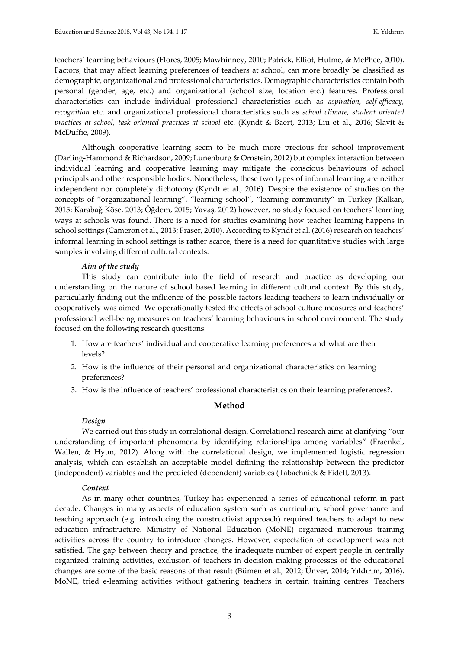teachers' learning behaviours (Flores, 2005; Mawhinney, 2010; Patrick, Elliot, Hulme, & McPhee, 2010). Factors, that may affect learning preferences of teachers at school, can more broadly be classified as demographic, organizational and professional characteristics. Demographic characteristics contain both personal (gender, age, etc.) and organizational (school size, location etc.) features. Professional characteristics can include individual professional characteristics such as *aspiration, self-efficacy, recognition* etc. and organizational professional characteristics such as *school climate, student oriented practices at school, task oriented practices at school* etc. (Kyndt & Baert, 2013; Liu et al., 2016; Slavit & McDuffie, 2009).

Although cooperative learning seem to be much more precious for school improvement (Darling-Hammond & Richardson, 2009; Lunenburg & Ornstein, 2012) but complex interaction between individual learning and cooperative learning may mitigate the conscious behaviours of school principals and other responsible bodies. Nonetheless, these two types of informal learning are neither independent nor completely dichotomy (Kyndt et al., 2016). Despite the existence of studies on the concepts of "organizational learning", "learning school", "learning community" in Turkey (Kalkan, 2015; Karabağ Köse, 2013; Öğdem, 2015; Yavaş, 2012) however, no study focused on teachers' learning ways at schools was found. There is a need for studies examining how teacher learning happens in school settings (Cameron et al., 2013; Fraser, 2010). According to Kyndt et al. (2016) research on teachers' informal learning in school settings is rather scarce, there is a need for quantitative studies with large samples involving different cultural contexts.

#### *Aim of the study*

This study can contribute into the field of research and practice as developing our understanding on the nature of school based learning in different cultural context. By this study, particularly finding out the influence of the possible factors leading teachers to learn individually or cooperatively was aimed. We operationally tested the effects of school culture measures and teachers' professional well-being measures on teachers' learning behaviours in school environment. The study focused on the following research questions:

- 1. How are teachers' individual and cooperative learning preferences and what are their levels?
- 2. How is the influence of their personal and organizational characteristics on learning preferences?
- 3. How is the influence of teachers' professional characteristics on their learning preferences?.

#### **Method**

#### *Design*

We carried out this study in correlational design. Correlational research aims at clarifying "our understanding of important phenomena by identifying relationships among variables" (Fraenkel, Wallen, & Hyun, 2012). Along with the correlational design, we implemented logistic regression analysis, which can establish an acceptable model defining the relationship between the predictor (independent) variables and the predicted (dependent) variables (Tabachnick & Fidell, 2013).

#### *Context*

As in many other countries, Turkey has experienced a series of educational reform in past decade. Changes in many aspects of education system such as curriculum, school governance and teaching approach (e.g. introducing the constructivist approach) required teachers to adapt to new education infrastructure. Ministry of National Education (MoNE) organized numerous training activities across the country to introduce changes. However, expectation of development was not satisfied. The gap between theory and practice, the inadequate number of expert people in centrally organized training activities, exclusion of teachers in decision making processes of the educational changes are some of the basic reasons of that result (Bümen et al., 2012; Ünver, 2014; Yıldırım, 2016). MoNE, tried e-learning activities without gathering teachers in certain training centres. Teachers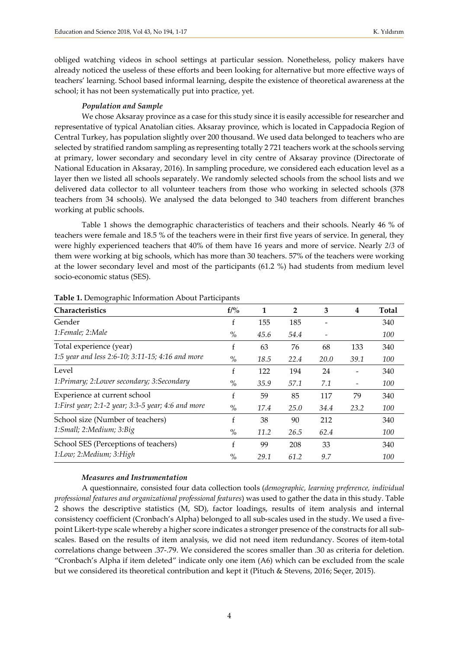obliged watching videos in school settings at particular session. Nonetheless, policy makers have already noticed the useless of these efforts and been looking for alternative but more effective ways of teachers' learning. School based informal learning, despite the existence of theoretical awareness at the school; it has not been systematically put into practice, yet.

#### *Population and Sample*

We chose Aksaray province as a case for this study since it is easily accessible for researcher and representative of typical Anatolian cities. Aksaray province, which is located in Cappadocia Region of Central Turkey, has population slightly over 200 thousand. We used data belonged to teachers who are selected by stratified random sampling as representing totally 2 721 teachers work at the schools serving at primary, lower secondary and secondary level in city centre of Aksaray province (Directorate of National Education in Aksaray, 2016). In sampling procedure, we considered each education level as a layer then we listed all schools separately. We randomly selected schools from the school lists and we delivered data collector to all volunteer teachers from those who working in selected schools (378 teachers from 34 schools). We analysed the data belonged to 340 teachers from different branches working at public schools.

Table 1 shows the demographic characteristics of teachers and their schools. Nearly 46 % of teachers were female and 18.5 % of the teachers were in their first five years of service. In general, they were highly experienced teachers that 40% of them have 16 years and more of service. Nearly *2/3* of them were working at big schools, which has more than 30 teachers. 57% of the teachers were working at the lower secondary level and most of the participants (61.2 %) had students from medium level socio-economic status (SES).

| Characteristics                                     | $f/$ %        | 1    | $\overline{2}$ | 3    | 4    | <b>Total</b> |
|-----------------------------------------------------|---------------|------|----------------|------|------|--------------|
| Gender                                              | f             | 155  | 185            |      |      | 340          |
| 1:Female; 2:Male                                    | $\frac{0}{0}$ | 45.6 | 54.4           |      |      | 100          |
| Total experience (year)                             | f             | 63   | 76             | 68   | 133  | 340          |
| 1:5 year and less 2:6-10; 3:11-15; 4:16 and more    | $\%$          | 18.5 | 22.4           | 20.0 | 39.1 | 100          |
| Level                                               | f             | 122  | 194            | 24   |      | 340          |
| 1:Primary; 2:Lower secondary; 3:Secondary           | $\frac{0}{0}$ | 35.9 | 57.1           | 7.1  |      | 100          |
| Experience at current school                        | f             | 59   | 85             | 117  | 79   | 340          |
| 1: First year; 2:1-2 year; 3:3-5 year; 4:6 and more | $\frac{0}{0}$ | 17.4 | 25.0           | 34.4 | 23.2 | 100          |
| School size (Number of teachers)                    | f             | 38   | 90             | 212  |      | 340          |
| 1:Small; 2:Medium; 3:Big                            | $\%$          | 11.2 | 26.5           | 62.4 |      | 100          |
| School SES (Perceptions of teachers)                | f             | 99   | 208            | 33   |      | 340          |
| 1:Low; 2:Medium; 3:High                             | $\%$          | 29.1 | 61.2           | 9.7  |      | 100          |

**Table 1.** Demographic Information About Participants

#### *Measures and Instrumentation*

A questionnaire, consisted four data collection tools (*demographic, learning preference, individual professional features and organizational professional features*) was used to gather the data in this study. Table 2 shows the descriptive statistics (M, SD), factor loadings, results of item analysis and internal consistency coefficient (Cronbach's Alpha) belonged to all sub-scales used in the study. We used a fivepoint Likert-type scale whereby a higher score indicates a stronger presence of the constructs for all subscales. Based on the results of item analysis, we did not need item redundancy. Scores of item-total correlations change between .37-.79. We considered the scores smaller than .30 as criteria for deletion. "Cronbach's Alpha if item deleted" indicate only one item (A6) which can be excluded from the scale but we considered its theoretical contribution and kept it (Pituch & Stevens, 2016; Seçer, 2015).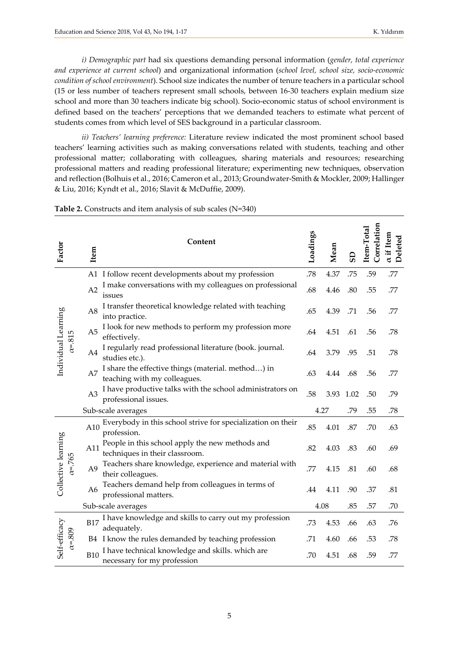*i) Demographic part* had six questions demanding personal information (*gender, total experience and experience at current school*) and organizational information (*school level, school size, socio-economic condition of school environment*). School size indicates the number of tenure teachers in a particular school (15 or less number of teachers represent small schools, between 16-30 teachers explain medium size school and more than 30 teachers indicate big school). Socio-economic status of school environment is defined based on the teachers' perceptions that we demanded teachers to estimate what percent of students comes from which level of SES background in a particular classroom.

*ii) Teachers' learning preference:* Literature review indicated the most prominent school based teachers' learning activities such as making conversations related with students, teaching and other professional matter; collaborating with colleagues, sharing materials and resources; researching professional matters and reading professional literature; experimenting new techniques, observation and reflection (Bolhuis et al., 2016; Cameron et al., 2013; Groundwater-Smith & Mockler, 2009; Hallinger & Liu, 2016; Kyndt et al., 2016; Slavit & McDuffie, 2009).

| Factor                                | Item               | Content                                                                            | Loadings | Mean | GS   | Correlation<br>Item-Total | a if Item<br>Deleted |
|---------------------------------------|--------------------|------------------------------------------------------------------------------------|----------|------|------|---------------------------|----------------------|
|                                       |                    | A1 I follow recent developments about my profession                                | .78      | 4.37 | .75  | .59                       | .77                  |
| Individual Learning<br>$\alpha = 815$ | A2                 | I make conversations with my colleagues on professional<br>issues                  | .68      | 4.46 | .80  | .55                       | .77                  |
|                                       | A8                 | I transfer theoretical knowledge related with teaching<br>into practice.           | .65      | 4.39 | .71  | .56                       | .77                  |
|                                       | A <sub>5</sub>     | I look for new methods to perform my profession more<br>effectively.               | .64      | 4.51 | .61  | .56                       | .78                  |
|                                       | A4                 | I regularly read professional literature (book. journal.<br>studies etc.).         | .64      | 3.79 | .95  | .51                       | .78                  |
|                                       | A7                 | I share the effective things (material. method) in<br>teaching with my colleagues. | .63      | 4.44 | .68  | .56                       | .77                  |
|                                       | A <sub>3</sub>     | I have productive talks with the school administrators on<br>professional issues.  | .58      | 3.93 | 1.02 | .50                       | .79                  |
|                                       |                    | Sub-scale averages                                                                 |          | 4.27 | .79  | .55                       | .78                  |
|                                       | A10                | Everybody in this school strive for specialization on their<br>profession.         | .85      | 4.01 | .87  | .70                       | .63                  |
| Collective learning                   | A11                | People in this school apply the new methods and<br>techniques in their classroom.  | .82      | 4.03 | .83  | .60                       | .69                  |
| $\alpha = 765$                        | A <sub>9</sub>     | Teachers share knowledge, experience and material with<br>their colleagues.        | .77      | 4.15 | .81  | .60                       | .68                  |
|                                       | A <sub>6</sub>     | Teachers demand help from colleagues in terms of<br>professional matters.          | .44      | 4.11 | .90  | .37                       | .81                  |
|                                       | Sub-scale averages |                                                                                    |          | 4.08 |      | .57                       | .70                  |
|                                       | <b>B17</b>         | I have knowledge and skills to carry out my profession<br>adequately.              | .73      | 4.53 | .66  | .63                       | .76                  |
| $\alpha = 809$                        |                    | B4 I know the rules demanded by teaching profession                                | .71      | 4.60 | .66  | .53                       | .78                  |
| Self-efficacy                         | <b>B10</b>         | I have technical knowledge and skills. which are<br>necessary for my profession    | .70      | 4.51 | .68  | .59                       | .77                  |

**Table 2.** Constructs and item analysis of sub scales (N=340)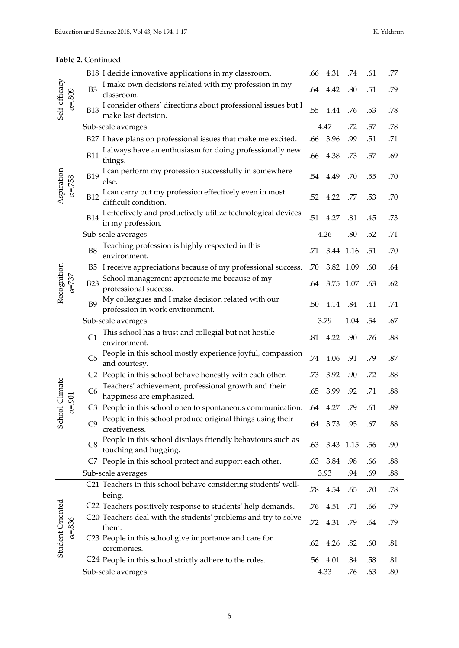|                               |                                                                                      | B18 I decide innovative applications in my classroom.                                    | .66  | 4.31         | .74       | .61 | .77 |
|-------------------------------|--------------------------------------------------------------------------------------|------------------------------------------------------------------------------------------|------|--------------|-----------|-----|-----|
| Self-efficacy                 | B <sub>3</sub><br>classroom.                                                         | I make own decisions related with my profession in my                                    |      | .64 4.42     | .80       | .51 | .79 |
| $\alpha = 809$                | <b>B13</b>                                                                           | I consider others' directions about professional issues but I<br>make last decision.     | .55  | 4.44         | .76       | .53 | .78 |
|                               | Sub-scale averages                                                                   |                                                                                          |      | 4.47         | .72       | .57 | .78 |
|                               |                                                                                      | B27 I have plans on professional issues that make me excited.                            | .66  | 3.96         | .99       | .51 | .71 |
|                               | I always have an enthusiasm for doing professionally new<br><b>B11</b><br>things.    | .66                                                                                      | 4.38 | .73          | .57       | .69 |     |
|                               | <b>B19</b><br>else.                                                                  | I can perform my profession successfully in somewhere<br>.54 4.49                        |      |              |           |     | .70 |
| Aspiration<br>$\alpha = 758$  | <b>B12</b>                                                                           | I can carry out my profession effectively even in most<br>difficult condition.           | .52  | 4.22         | .77       | .53 | .70 |
|                               | <b>B14</b>                                                                           | I effectively and productively utilize technological devices<br>.51<br>in my profession. |      |              |           |     | .73 |
|                               | Sub-scale averages                                                                   |                                                                                          |      | 4.26         | .80       | .52 | .71 |
| Recognition<br>$\alpha = 737$ | <b>B8</b><br>environment.                                                            | Teaching profession is highly respected in this                                          | .71  |              | 3.44 1.16 | .51 | .70 |
|                               |                                                                                      | B5 I receive appreciations because of my professional success.                           | .70  |              | 3.82 1.09 | .60 | .64 |
|                               | School management appreciate me because of my<br><b>B23</b><br>professional success. | .64                                                                                      |      | 3.75 1.07    | .63       | .62 |     |
|                               | B <sub>9</sub>                                                                       | My colleagues and I make decision related with our<br>profession in work environment.    | .50  | 4.14         | .84       | .41 | .74 |
|                               | Sub-scale averages                                                                   |                                                                                          | 3.79 |              | 1.04      | .54 | .67 |
|                               | C1                                                                                   | This school has a trust and collegial but not hostile<br>environment.                    |      | .81<br>4.22  | .90       | .76 | .88 |
|                               | C <sub>5</sub>                                                                       | People in this school mostly experience joyful, compassion<br>and courtesy.              |      |              |           |     | .87 |
|                               |                                                                                      | C2 People in this school behave honestly with each other.                                | .73  | 3.92         | .90       | .72 | .88 |
| Climate<br>901                | C <sub>6</sub>                                                                       | Teachers' achievement, professional growth and their<br>happiness are emphasized.        | .65  | 3.99         | .92       | .71 | .88 |
| $\alpha$                      |                                                                                      | C3 People in this school open to spontaneous communication. .64 4.27                     |      |              | .79       | .61 | .89 |
| School                        | C9<br>creativeness.                                                                  | People in this school produce original things using their                                |      | .64 3.73 .95 |           | .67 | .88 |
|                               | C8                                                                                   | People in this school displays friendly behaviours such as<br>touching and hugging.      | .63  |              | 3.43 1.15 | .56 | .90 |
|                               |                                                                                      | C7 People in this school protect and support each other.                                 | .63  | 3.84         | .98       | .66 | .88 |
|                               | Sub-scale averages                                                                   |                                                                                          |      | 3.93         | .94       | .69 | .88 |
|                               | being.                                                                               | C21 Teachers in this school behave considering students' well-                           | .78  | 4.54         | .65       | .70 | .78 |
|                               |                                                                                      | C22 Teachers positively response to students' help demands.                              | .76  | 4.51         | .71       | .66 | .79 |
| $\alpha = 836$                | them.                                                                                | C20 Teachers deal with the students' problems and try to solve                           | .72  | 4.31         | .79       | .64 | .79 |
| Student Oriented              | ceremonies.                                                                          | C23 People in this school give importance and care for                                   | .62  | 4.26         | .82       | .60 | .81 |
|                               | C <sub>24</sub> People in this school strictly adhere to the rules.                  |                                                                                          | .56  | 4.01         | .84       | .58 | .81 |
|                               |                                                                                      | Sub-scale averages                                                                       |      |              |           |     | .80 |

#### **Table 2.** Continued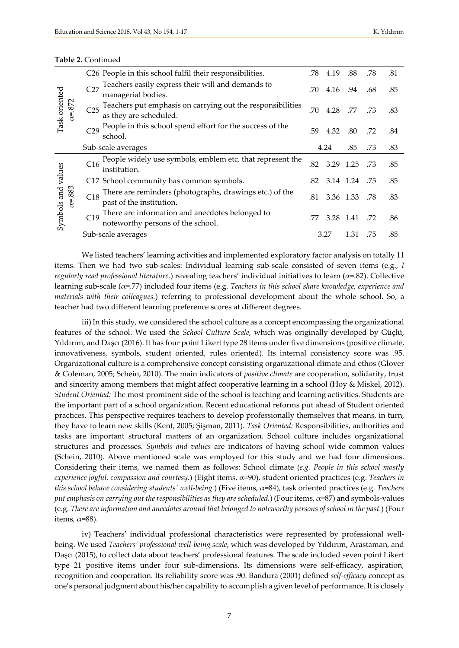| Task oriented<br>$\alpha = 872$ | C26 People in this school fulfil their responsibilities.                                                                                                                                  | .78 | 4.19      | .88       | .78 | .81 |
|---------------------------------|-------------------------------------------------------------------------------------------------------------------------------------------------------------------------------------------|-----|-----------|-----------|-----|-----|
|                                 | Teachers easily express their will and demands to<br>C27<br>managerial bodies.                                                                                                            | .70 | 4.16      | .94       | .68 | .85 |
|                                 | Teachers put emphasis on carrying out the responsibilities<br>C <sub>25</sub><br>as they are scheduled.                                                                                   | .70 | 4.28      | .77       | .73 | .83 |
|                                 | People in this school spend effort for the success of the<br>C29<br>school.                                                                                                               | .59 | 4.32      | .80       | .72 | .84 |
|                                 | Sub-scale averages                                                                                                                                                                        |     | 4.24      | .85       | .73 | .83 |
| values                          | People widely use symbols, emblem etc. that represent the<br>C <sub>16</sub><br>institution.                                                                                              | .82 | 3.29      | 1.25      | .73 | .85 |
|                                 | C17 School community has common symbols.                                                                                                                                                  | .82 | 3.14 1.24 |           | .75 | .85 |
| Symbols and<br>$\alpha = 883$   | There are reminders (photographs, drawings etc.) of the<br>C18<br>past of the institution.<br>There are information and anecdotes belonged to<br>C19<br>noteworthy persons of the school. |     |           | 3.36 1.33 | .78 | .83 |
|                                 |                                                                                                                                                                                           |     | 3.28      | 1.41      | .72 | .86 |
|                                 | Sub-scale averages                                                                                                                                                                        |     | 3.27      | 1.31      | .75 | .85 |

#### **Table 2.** Continued

We listed teachers' learning activities and implemented exploratory factor analysis on totally 11 items. Then we had two sub-scales: Individual learning sub-scale consisted of seven items (e.g., *I regularly read professional literature.*) revealing teachers' individual initiatives to learn (α=.82). Collective learning sub-scale (α=.77) included four items (e.g. *Teachers in this school share knowledge, experience and materials with their colleagues.*) referring to professional development about the whole school. So, a teacher had two different learning preference scores at different degrees.

iii) In this study, we considered the school culture as a concept encompassing the organizational features of the school. We used the *School Culture Scale*, which was originally developed by Güçlü, Yıldırım, and Daşcı (2016). It has four point Likert type 28 items under five dimensions (positive climate, innovativeness, symbols, student oriented, rules oriented). Its internal consistency score was .95. Organizational culture is a comprehensive concept consisting organizational climate and ethos (Glover & Coleman, 2005; Schein, 2010). The main indicators of *positive climate* are cooperation, solidarity, trust and sincerity among members that might affect cooperative learning in a school (Hoy & Miskel, 2012). *Student Oriented:* The most prominent side of the school is teaching and learning activities. Students are the important part of a school organization. Recent educational reforms put ahead of Student oriented practices. This perspective requires teachers to develop professionally themselves that means, in turn, they have to learn new skills (Kent, 2005; Şişman, 2011). *Task Oriented:* Responsibilities, authorities and tasks are important structural matters of an organization. School culture includes organizational structures and processes. *Symbols and values* are indicators of having school wide common values (Schein, 2010). Above mentioned scale was employed for this study and we had four dimensions. Considering their items, we named them as follows: School climate (*e.g. People in this school mostly experience joyful. compassion and courtesy.*) (Eight items, α=90), student oriented practices (e.g. *Teachers in this school behave considering students' well-being.*) (Five items, α=84), task oriented practices (e.g*. Teachers put emphasis on carrying out the responsibilities as they are scheduled.*) (Four items,  $\alpha$ =87) and symbols-values (e.g. *There are information and anecdotes around that belonged to noteworthy persons of school in the past.*) (Four items,  $\alpha$ =88).

iv) Teachers' individual professional characteristics were represented by professional wellbeing. We used *Teachers' professional well-being scale,* which was developed by Yıldırım, Arastaman, and Daşcı (2015), to collect data about teachers' professional features. The scale included seven point Likert type 21 positive items under four sub-dimensions. Its dimensions were self-efficacy, aspiration, recognition and cooperation. Its reliability score was .90. Bandura (2001) defined *self-efficacy* concept as one's personal judgment about his/her capability to accomplish a given level of performance. It is closely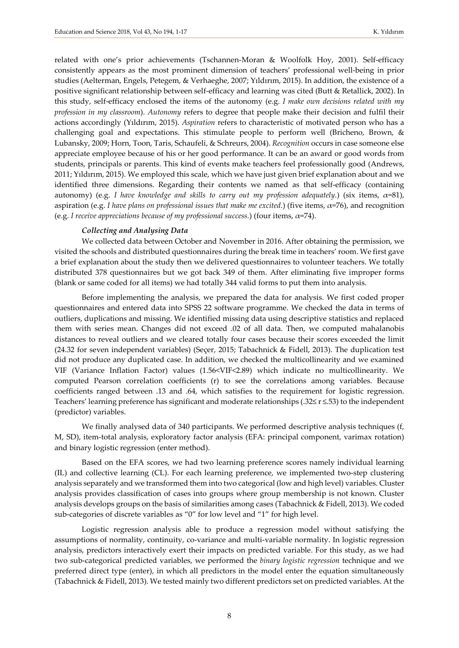related with one's prior achievements (Tschannen-Moran & Woolfolk Hoy, 2001). Self-efficacy consistently appears as the most prominent dimension of teachers' professional well-being in prior studies (Aelterman, Engels, Petegem, & Verhaeghe, 2007; Yıldırım, 2015). In addition, the existence of a positive significant relationship between self-efficacy and learning was cited (Butt & Retallick, 2002). In this study, self-efficacy enclosed the items of the autonomy (e.g. *I make own decisions related with my profession in my classroom*). *Autonomy* refers to degree that people make their decision and fulfil their actions accordingly (Yıldırım, 2015). *Aspiration* refers to characteristic of motivated person who has a challenging goal and expectations. This stimulate people to perform well (Bricheno, Brown, & Lubansky, 2009; Horn, Toon, Taris, Schaufeli, & Schreurs, 2004). *Recognition* occurs in case someone else appreciate employee because of his or her good performance. It can be an award or good words from students, principals or parents. This kind of events make teachers feel professionally good (Andrews, 2011; Yıldırım, 2015). We employed this scale, which we have just given brief explanation about and we identified three dimensions. Regarding their contents we named as that self-efficacy (containing autonomy) (e.g. *I have knowledge and skills to carry out my profession adequately.*) (six items,  $α=81$ ), aspiration (e.g. *I have plans on professional issues that make me excited.*) (five items, α=76), and recognition (e.g. *I receive appreciations because of my professional success.*) (four items,  $\alpha$ =74).

#### *Collecting and Analysing Data*

We collected data between October and November in 2016. After obtaining the permission, we visited the schools and distributed questionnaires during the break time in teachers' room. We first gave a brief explanation about the study then we delivered questionnaires to volunteer teachers. We totally distributed 378 questionnaires but we got back 349 of them. After eliminating five improper forms (blank or same coded for all items) we had totally 344 valid forms to put them into analysis.

Before implementing the analysis, we prepared the data for analysis. We first coded proper questionnaires and entered data into SPSS 22 software programme. We checked the data in terms of outliers, duplications and missing. We identified missing data using descriptive statistics and replaced them with series mean. Changes did not exceed .02 of all data. Then, we computed mahalanobis distances to reveal outliers and we cleared totally four cases because their scores exceeded the limit (24.32 for seven independent variables) (Seçer, 2015; Tabachnick & Fidell, 2013). The duplication test did not produce any duplicated case. In addition, we checked the multicollinearity and we examined VIF (Variance Inflation Factor) values (1.56<VIF<2.89) which indicate no multicollinearity. We computed Pearson correlation coefficients (r) to see the correlations among variables. Because coefficients ranged between .13 and .64, which satisfies to the requirement for logistic regression. Teachers' learning preference has significant and moderate relationships (.32≤ r ≤.53) to the independent (predictor) variables.

We finally analysed data of 340 participants. We performed descriptive analysis techniques (f, M, SD), item-total analysis, exploratory factor analysis (EFA: principal component, varimax rotation) and binary logistic regression (enter method).

Based on the EFA scores, we had two learning preference scores namely individual learning (IL) and collective learning (CL). For each learning preference, we implemented two-step clustering analysis separately and we transformed them into two categorical (low and high level) variables. Cluster analysis provides classification of cases into groups where group membership is not known. Cluster analysis develops groups on the basis of similarities among cases (Tabachnick & Fidell, 2013). We coded sub-categories of discrete variables as "0" for low level and "1" for high level.

Logistic regression analysis able to produce a regression model without satisfying the assumptions of normality, continuity, co-variance and multi-variable normality. In logistic regression analysis, predictors interactively exert their impacts on predicted variable. For this study, as we had two sub-categorical predicted variables, we performed the *binary logistic regression* technique and we preferred direct type (enter), in which all predictors in the model enter the equation simultaneously (Tabachnick & Fidell, 2013). We tested mainly two different predictors set on predicted variables. At the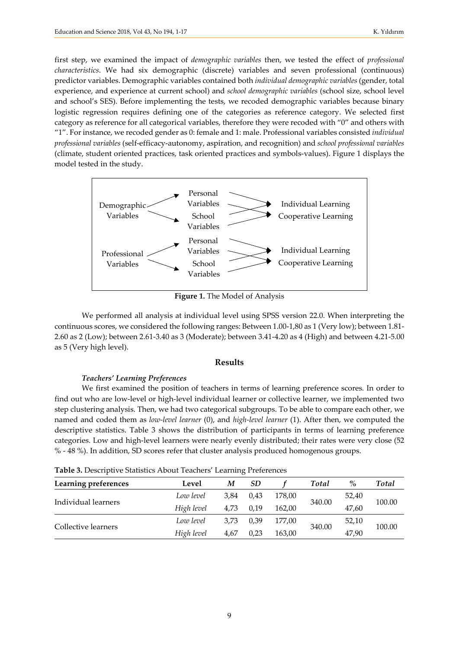first step, we examined the impact of *demographic variables* then, we tested the effect of *professional characteristics*. We had six demographic (discrete) variables and seven professional (continuous) predictor variables. Demographic variables contained both *individual demographic variables* (gender, total experience, and experience at current school) and *school demographic variables* (school size, school level and school's SES). Before implementing the tests, we recoded demographic variables because binary logistic regression requires defining one of the categories as reference category. We selected first category as reference for all categorical variables, therefore they were recoded with "0" and others with "1". For instance, we recoded gender as 0: female and 1: male. Professional variables consisted *individual professional variables* (self-efficacy-autonomy, aspiration, and recognition) and *school professional variables* (climate, student oriented practices, task oriented practices and symbols-values). Figure 1 displays the model tested in the study.



**Figure 1.** The Model of Analysis

We performed all analysis at individual level using SPSS version 22.0. When interpreting the continuous scores, we considered the following ranges: Between 1.00-1,80 as 1 (Very low); between 1.81- 2.60 as 2 (Low); between 2.61-3.40 as 3 (Moderate); between 3.41-4.20 as 4 (High) and between 4.21-5.00 as 5 (Very high level).

#### **Results**

#### *Teachers' Learning Preferences*

We first examined the position of teachers in terms of learning preference scores. In order to find out who are low-level or high-level individual learner or collective learner, we implemented two step clustering analysis. Then, we had two categorical subgroups. To be able to compare each other, we named and coded them as *low-level learner* (0), and *high-level learner* (1). After then, we computed the descriptive statistics. Table 3 shows the distribution of participants in terms of learning preference categories. Low and high-level learners were nearly evenly distributed; their rates were very close (52 % - 48 %). In addition, SD scores refer that cluster analysis produced homogenous groups.

**Table 3.** Descriptive Statistics About Teachers' Learning Preferences

| Learning preferences | Level      | M    | SD   |        | <b>Total</b> | $\%$  | <b>Total</b> |
|----------------------|------------|------|------|--------|--------------|-------|--------------|
| Individual learners  | Low level  | 3.84 | 0.43 | 178,00 |              | 52,40 | 100.00       |
|                      | High level | 4,73 | 0,19 | 162,00 | 340.00       | 47,60 |              |
|                      | Low level  | 3.73 | 0.39 | 177.00 |              | 52,10 |              |
| Collective learners  | High level | 4,67 | 0.23 | 163,00 | 340.00       | 47,90 | 100.00       |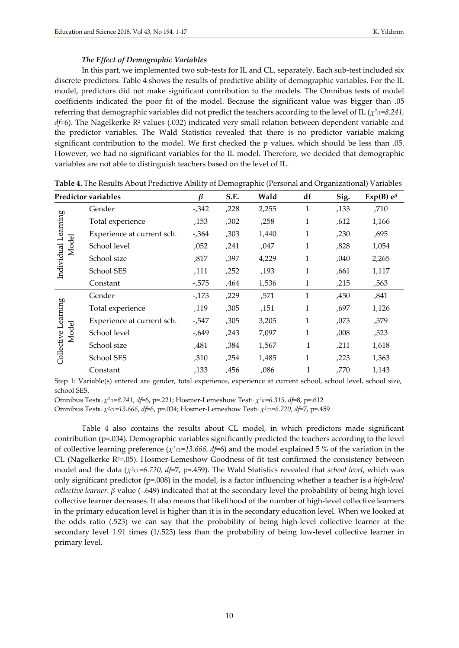#### *The Effect of Demographic Variables*

In this part, we implemented two sub-tests for IL and CL, separately. Each sub-test included six discrete predictors. Table 4 shows the results of predictive ability of demographic variables. For the IL model, predictors did not make significant contribution to the models. The Omnibus tests of model coefficients indicated the poor fit of the model. Because the significant value was bigger than .05 referring that demographic variables did not predict the teachers according to the level of IL ( $\chi^2\mu=8.241$ ,  $d_f$ =6). The Nagelkerke R<sup>2</sup> values (.032) indicated very small relation between dependent variable and the predictor variables. The Wald Statistics revealed that there is no predictor variable making significant contribution to the model. We first checked the p values, which should be less than .05. However, we had no significant variables for the IL model. Therefore, we decided that demographic variables are not able to distinguish teachers based on the level of IL.

|                              | <b>Predictor variables</b> | ß        | S.E. | Wald  | df | Sig. | Exp(B) $e^{\beta}$ |
|------------------------------|----------------------------|----------|------|-------|----|------|--------------------|
| Learning                     | Gender                     | $-0.342$ | ,228 | 2,255 | 1  | ,133 | ,710               |
|                              | Total experience           | ,153     | ,302 | ,258  | 1  | ,612 | 1,166              |
|                              | Experience at current sch. | $-0.364$ | ,303 | 1,440 | 1  | ,230 | ,695               |
| Model                        | School level               | ,052     | ,241 | ,047  | 1  | ,828 | 1,054              |
| Individual                   | School size                | ,817     | ,397 | 4,229 | 1  | ,040 | 2,265              |
|                              | School SES                 | ,111     | ,252 | ,193  | 1  | ,661 | 1,117              |
|                              | Constant                   | $-0.575$ | ,464 | 1,536 | 1  | ,215 | ,563               |
|                              | Gender                     | $-173$   | ,229 | ,571  | 1  | ,450 | ,841               |
|                              | Total experience           | ,119     | ,305 | ,151  | 1  | ,697 | 1,126              |
|                              | Experience at current sch. | $-0.547$ | ,305 | 3,205 | 1  | ,073 | ,579               |
| Collective Learning<br>Model | School level               | -,649    | ,243 | 7,097 | 1  | ,008 | ,523               |
|                              | School size                | ,481     | ,384 | 1,567 | 1  | ,211 | 1,618              |
|                              | School SES                 | ,310     | ,254 | 1,485 | 1  | ,223 | 1,363              |
|                              | Constant                   | ,133     | ,456 | ,086  | 1  | ,770 | 1,143              |

**Table 4.** The Results About Predictive Ability of Demographic (Personal and Organizational) Variables

Step 1: Variable(s) entered are gender, total experience, experience at current school, school level, school size, school SES.

Omnibus TestIL: *χ2IL=8.241, df*=6, p=.221; Hosmer-Lemeshow TestL: *χ2IL=6.315, df*=8, p=.612

Omnibus TestIL: *χ2CL=13.666, df*=6, p=.034; Hosmer-Lemeshow TestL: *χ2CL=6.720, df*=7, p=.459

Table 4 also contains the results about CL model, in which predictors made significant contribution (p=.034). Demographic variables significantly predicted the teachers according to the level of collective learning preference (*χ2CL=13.666, df*=6) and the model explained 5 % of the variation in the CL (Nagelkerke R2=.05). Hosmer-Lemeshow Goodness of fit test confirmed the consistency between model and the data (*χ<sup>2</sup>cL=6.720, df*=7, p=.459). The Wald Statistics revealed that *school level*, which was only significant predictor (p=.008) in the model, is a factor influencing whether a teacher is *a high-level collective learner*. *β* value (-.649) indicated that at the secondary level the probability of being high level collective learner decreases. It also means that likelihood of the number of high-level collective learners in the primary education level is higher than it is in the secondary education level. When we looked at the odds ratio (.523) we can say that the probability of being high-level collective learner at the secondary level 1.91 times (1/.523) less than the probability of being low-level collective learner in primary level.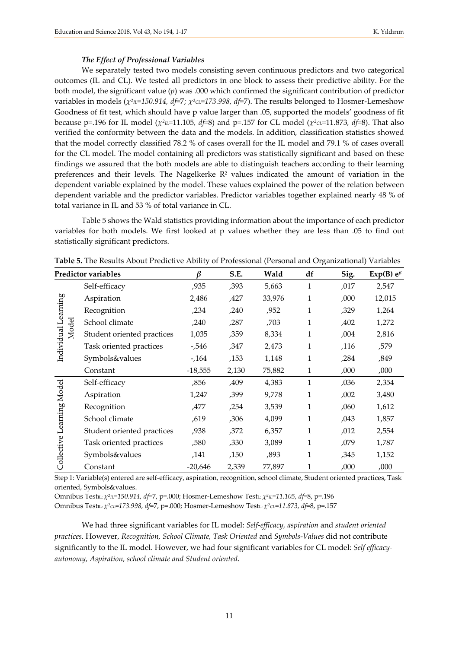#### *The Effect of Professional Variables*

We separately tested two models consisting seven continuous predictors and two categorical outcomes (IL and CL). We tested all predictors in one block to assess their predictive ability. For the both model, the significant value (*p*) was .000 which confirmed the significant contribution of predictor variables in models ( $\chi^2$ <sub>*IL*=150.914, df=7;  $\chi^2$ <sub>CL</sub>=173.998, df=7). The results belonged to Hosmer-Lemeshow</sub> Goodness of fit test, which should have p value larger than .05, supported the models' goodness of fit because p=.196 for IL model ( $\chi^2$ <sub>IL</sub>=11.105*, d* f=8) and p=.157 for CL model ( $\chi^2$ <sub>CL</sub>=11.873*, d* f=8). That also verified the conformity between the data and the models. In addition, classification statistics showed that the model correctly classified 78.2 % of cases overall for the IL model and 79.1 % of cases overall for the CL model. The model containing all predictors was statistically significant and based on these findings we assured that the both models are able to distinguish teachers according to their learning preferences and their levels. The Nagelkerke  $R<sup>2</sup>$  values indicated the amount of variation in the dependent variable explained by the model. These values explained the power of the relation between dependent variable and the predictor variables. Predictor variables together explained nearly 48 % of total variance in IL and 53 % of total variance in CL.

Table 5 shows the Wald statistics providing information about the importance of each predictor variables for both models. We first looked at p values whether they are less than .05 to find out statistically significant predictors.

|                              | <b>Predictor variables</b> | ß         | S.E.  | Wald   | df           | Sig.  | Exp(B) $e^{\beta}$ |
|------------------------------|----------------------------|-----------|-------|--------|--------------|-------|--------------------|
| Individual Learning          | Self-efficacy              | ,935      | ,393  | 5,663  | $\mathbf{1}$ | ,017  | 2,547              |
|                              | Aspiration                 | 2,486     | ,427  | 33,976 | 1            | ,000, | 12,015             |
|                              | Recognition                | ,234      | ,240  | ,952   | $\mathbf{1}$ | ,329  | 1,264              |
|                              | School climate             | ,240      | ,287  | ,703   | 1            | ,402  | 1,272              |
| Model                        | Student oriented practices | 1,035     | ,359  | 8,334  | 1            | ,004  | 2,816              |
|                              | Task oriented practices    | -,546     | ,347  | 2,473  | 1            | ,116  | ,579               |
|                              | Symbols&values             | $-164$    | ,153  | 1,148  | 1            | ,284  | ,849               |
|                              | Constant                   | $-18,555$ | 2,130 | 75,882 | $\mathbf{1}$ | ,000, | ,000,              |
|                              | Self-efficacy              | ,856      | ,409  | 4,383  | 1            | ,036  | 2,354              |
|                              | Aspiration                 | 1,247     | ,399  | 9,778  | 1            | ,002  | 3,480              |
|                              | Recognition                | ,477      | ,254  | 3,539  | 1            | ,060  | 1,612              |
| Learning Model<br>Collective | School climate             | ,619      | ,306  | 4,099  | 1            | ,043  | 1,857              |
|                              | Student oriented practices | ,938      | ,372  | 6,357  | 1            | ,012  | 2,554              |
|                              | Task oriented practices    | ,580      | ,330  | 3,089  | 1            | ,079  | 1,787              |
|                              | Symbols&values             | ,141      | ,150  | ,893   | 1            | ,345  | 1,152              |
|                              | Constant                   | $-20,646$ | 2,339 | 77,897 | 1            | ,000  | ,000               |

**Table 5.** The Results About Predictive Ability of Professional (Personal and Organizational) Variables

Step 1: Variable(s) entered are self-efficacy, aspiration, recognition, school climate, Student oriented practices, Task oriented, Symbols&values.

Omnibus TestIL: *χ2IL=150.914, df*=7, p=.000; Hosmer-Lemeshow TestL: *χ2IL=11.105, df*=8, p=.196 Omnibus TestIL: *χ2CL=173.998, df*=7, p=.000; Hosmer-Lemeshow TestL: *χ2CL=11.873, df*=8, p=.157

We had three significant variables for IL model: *Self-efficacy, aspiration* and *student oriented practices*. However, *Recognition, School Climate, Task Oriented* and *Symbols-Values* did not contribute significantly to the IL model. However, we had four significant variables for CL model: *Self efficacyautonomy, Aspiration, school climate and Student oriented*.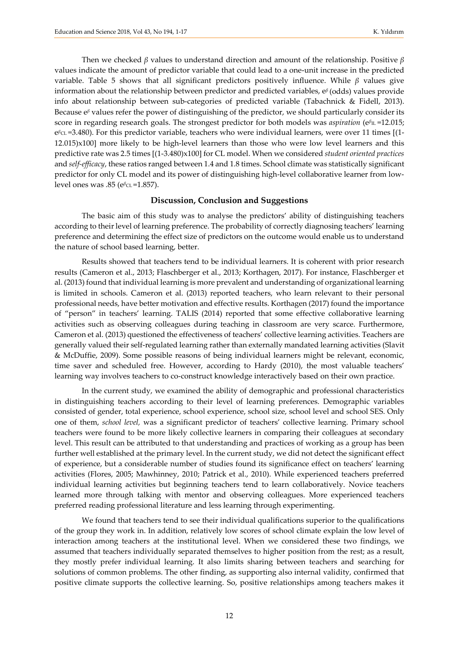Then we checked *β* values to understand direction and amount of the relationship. Positive *β* values indicate the amount of predictor variable that could lead to a one-unit increase in the predicted variable. Table 5 shows that all significant predictors positively influence. While *β* values give information about the relationship between predictor and predicted variables, e*β* (odds) values provide info about relationship between sub-categories of predicted variable (Tabachnick & Fidell, 2013). Because e*<sup>β</sup>* values refer the power of distinguishing of the predictor, we should particularly consider its score in regarding research goals. The strongest predictor for both models was *aspiration* (e<sup>β</sup><sub>IL</sub> =12.015; e<sup>β</sup>cL =3.480). For this predictor variable, teachers who were individual learners, were over 11 times [(1-12.015)x100] more likely to be high-level learners than those who were low level learners and this predictive rate was 2.5 times [(1-3.480)x100] for CL model. When we considered *student oriented practices* and *self-efficacy*, these ratios ranged between 1.4 and 1.8 times. School climate was statistically significant predictor for only CL model and its power of distinguishing high-level collaborative learner from lowlevel ones was .85 (e<sup>β</sup>CL=1.857).

#### **Discussion, Conclusion and Suggestions**

The basic aim of this study was to analyse the predictors' ability of distinguishing teachers according to their level of learning preference. The probability of correctly diagnosing teachers' learning preference and determining the effect size of predictors on the outcome would enable us to understand the nature of school based learning, better.

Results showed that teachers tend to be individual learners. It is coherent with prior research results (Cameron et al., 2013; Flaschberger et al., 2013; Korthagen, 2017). For instance, Flaschberger et al. (2013) found that individual learning is more prevalent and understanding of organizational learning is limited in schools. Cameron et al. (2013) reported teachers, who learn relevant to their personal professional needs, have better motivation and effective results. Korthagen (2017) found the importance of "person" in teachers' learning. TALIS (2014) reported that some effective collaborative learning activities such as observing colleagues during teaching in classroom are very scarce. Furthermore, Cameron et al. (2013) questioned the effectiveness of teachers' collective learning activities. Teachers are generally valued their self-regulated learning rather than externally mandated learning activities (Slavit & McDuffie, 2009). Some possible reasons of being individual learners might be relevant, economic, time saver and scheduled free. However, according to Hardy (2010), the most valuable teachers' learning way involves teachers to co-construct knowledge interactively based on their own practice.

In the current study, we examined the ability of demographic and professional characteristics in distinguishing teachers according to their level of learning preferences. Demographic variables consisted of gender, total experience, school experience, school size, school level and school SES. Only one of them, *school level,* was a significant predictor of teachers' collective learning. Primary school teachers were found to be more likely collective learners in comparing their colleagues at secondary level. This result can be attributed to that understanding and practices of working as a group has been further well established at the primary level. In the current study, we did not detect the significant effect of experience, but a considerable number of studies found its significance effect on teachers' learning activities (Flores, 2005; Mawhinney, 2010; Patrick et al., 2010). While experienced teachers preferred individual learning activities but beginning teachers tend to learn collaboratively. Novice teachers learned more through talking with mentor and observing colleagues. More experienced teachers preferred reading professional literature and less learning through experimenting.

We found that teachers tend to see their individual qualifications superior to the qualifications of the group they work in. In addition, relatively low scores of school climate explain the low level of interaction among teachers at the institutional level. When we considered these two findings, we assumed that teachers individually separated themselves to higher position from the rest; as a result, they mostly prefer individual learning. It also limits sharing between teachers and searching for solutions of common problems. The other finding, as supporting also internal validity, confirmed that positive climate supports the collective learning. So, positive relationships among teachers makes it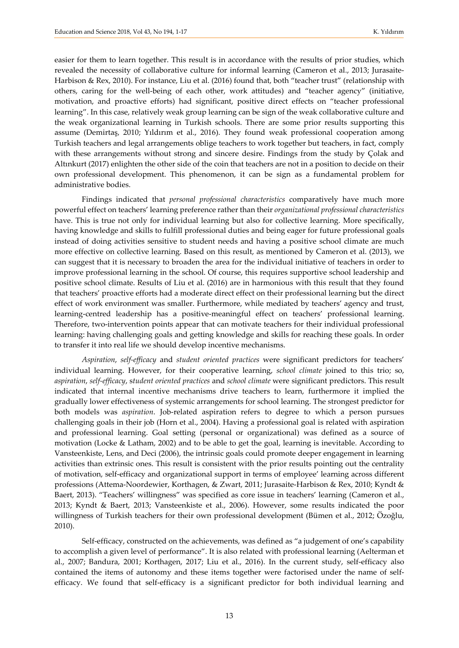easier for them to learn together. This result is in accordance with the results of prior studies, which revealed the necessity of collaborative culture for informal learning (Cameron et al., 2013; Jurasaite-Harbison & Rex, 2010). For instance, Liu et al. (2016) found that, both "teacher trust" (relationship with others, caring for the well-being of each other, work attitudes) and "teacher agency" (initiative, motivation, and proactive efforts) had significant, positive direct effects on "teacher professional learning". In this case, relatively weak group learning can be sign of the weak collaborative culture and the weak organizational learning in Turkish schools. There are some prior results supporting this assume (Demirtaş, 2010; Yıldırım et al., 2016). They found weak professional cooperation among Turkish teachers and legal arrangements oblige teachers to work together but teachers, in fact, comply with these arrangements without strong and sincere desire. Findings from the study by Çolak and Altınkurt (2017) enlighten the other side of the coin that teachers are not in a position to decide on their own professional development. This phenomenon, it can be sign as a fundamental problem for administrative bodies.

Findings indicated that *personal professional characteristics* comparatively have much more powerful effect on teachers' learning preference rather than their *organizational professional characteristics* have. This is true not only for individual learning but also for collective learning. More specifically, having knowledge and skills to fulfill professional duties and being eager for future professional goals instead of doing activities sensitive to student needs and having a positive school climate are much more effective on collective learning. Based on this result, as mentioned by Cameron et al. (2013), we can suggest that it is necessary to broaden the area for the individual initiative of teachers in order to improve professional learning in the school. Of course, this requires supportive school leadership and positive school climate. Results of Liu et al. (2016) are in harmonious with this result that they found that teachers' proactive efforts had a moderate direct effect on their professional learning but the direct effect of work environment was smaller. Furthermore, while mediated by teachers' agency and trust, learning-centred leadership has a positive-meaningful effect on teachers' professional learning. Therefore, two-intervention points appear that can motivate teachers for their individual professional learning: having challenging goals and getting knowledge and skills for reaching these goals. In order to transfer it into real life we should develop incentive mechanisms.

*Aspiration*, *self-efficacy* and *student oriented practices* were significant predictors for teachers' individual learning. However, for their cooperative learning, *school climate* joined to this trio; so, *aspiration*, *self-efficacy*, s*tudent oriented practices* and *school climate* were significant predictors. This result indicated that internal incentive mechanisms drive teachers to learn, furthermore it implied the gradually lower effectiveness of systemic arrangements for school learning. The strongest predictor for both models was *aspiration*. Job-related aspiration refers to degree to which a person pursues challenging goals in their job (Horn et al., 2004). Having a professional goal is related with aspiration and professional learning. Goal setting (personal or organizational) was defined as a source of motivation (Locke & Latham, 2002) and to be able to get the goal, learning is inevitable. According to Vansteenkiste, Lens, and Deci (2006), the intrinsic goals could promote deeper engagement in learning activities than extrinsic ones. This result is consistent with the prior results pointing out the centrality of motivation, self-efficacy and organizational support in terms of employee' learning across different professions (Attema-Noordewier, Korthagen, & Zwart, 2011; Jurasaite-Harbison & Rex, 2010; Kyndt & Baert, 2013). "Teachers' willingness" was specified as core issue in teachers' learning (Cameron et al., 2013; Kyndt & Baert, 2013; Vansteenkiste et al., 2006). However, some results indicated the poor willingness of Turkish teachers for their own professional development (Bümen et al., 2012; Özoğlu, 2010).

Self-efficacy, constructed on the achievements, was defined as "a judgement of one's capability to accomplish a given level of performance". It is also related with professional learning (Aelterman et al., 2007; Bandura, 2001; Korthagen, 2017; Liu et al., 2016). In the current study, self-efficacy also contained the items of autonomy and these items together were factorised under the name of selfefficacy. We found that self-efficacy is a significant predictor for both individual learning and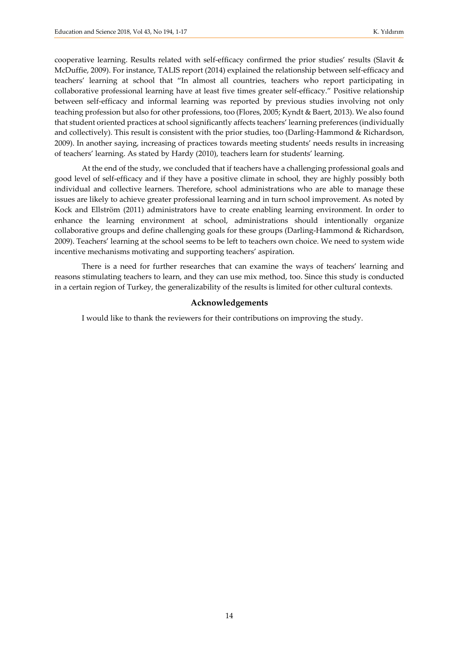cooperative learning. Results related with self-efficacy confirmed the prior studies' results (Slavit & McDuffie, 2009). For instance, TALIS report (2014) explained the relationship between self-efficacy and teachers' learning at school that "In almost all countries, teachers who report participating in collaborative professional learning have at least five times greater self-efficacy." Positive relationship between self-efficacy and informal learning was reported by previous studies involving not only teaching profession but also for other professions, too (Flores, 2005; Kyndt & Baert, 2013). We also found that student oriented practices at school significantly affects teachers' learning preferences (individually and collectively). This result is consistent with the prior studies, too (Darling-Hammond & Richardson, 2009). In another saying, increasing of practices towards meeting students' needs results in increasing of teachers' learning. As stated by Hardy (2010), teachers learn for students' learning.

At the end of the study, we concluded that if teachers have a challenging professional goals and good level of self-efficacy and if they have a positive climate in school, they are highly possibly both individual and collective learners. Therefore, school administrations who are able to manage these issues are likely to achieve greater professional learning and in turn school improvement. As noted by Kock and Ellström (2011) administrators have to create enabling learning environment. In order to enhance the learning environment at school, administrations should intentionally organize collaborative groups and define challenging goals for these groups (Darling-Hammond & Richardson, 2009). Teachers' learning at the school seems to be left to teachers own choice. We need to system wide incentive mechanisms motivating and supporting teachers' aspiration.

There is a need for further researches that can examine the ways of teachers' learning and reasons stimulating teachers to learn, and they can use mix method, too. Since this study is conducted in a certain region of Turkey, the generalizability of the results is limited for other cultural contexts.

#### **Acknowledgements**

I would like to thank the reviewers for their contributions on improving the study.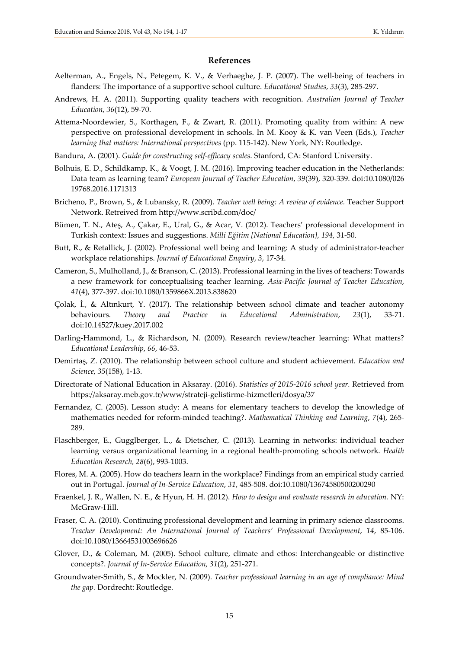#### **References**

- Aelterman, A., Engels, N., Petegem, K. V., & Verhaeghe, J. P. (2007). The well-being of teachers in flanders: The importance of a supportive school culture. *Educational Studies*, *33*(3), 285-297.
- Andrews, H. A. (2011). Supporting quality teachers with recognition. *Australian Journal of Teacher Education*, *36*(12), 59-70.
- Attema-Noordewier, S., Korthagen, F., & Zwart, R. (2011). Promoting quality from within: A new perspective on professional development in schools. In M. Kooy & K. van Veen (Eds.), *Teacher learning that matters: International perspectives* (pp. 115-142). New York, NY: Routledge.
- Bandura, A. (2001). *Guide for constructing self-efficacy scales*. Stanford, CA: Stanford University.
- Bolhuis, E. D., Schildkamp, K., & Voogt, J. M. (2016). Improving teacher education in the Netherlands: Data team as learning team? *European Journal of Teacher Education*, *39*(39), 320-339. doi:10.1080/026 19768.2016.1171313
- Bricheno, P., Brown, S., & Lubansky, R. (2009). *Teacher well being: A review of evidence.* Teacher Support Network. Retreived from<http://www.scribd.com/doc/>
- Bümen, T. N., Ateş, A., Çakar, E., Ural, G., & Acar, V. (2012). Teachers' professional development in Turkish context: Issues and suggestions. *Milli Eğitim [National Education]*, *194*, 31-50.
- Butt, R., & Retallick, J. (2002). Professional well being and learning: A study of administrator-teacher workplace relationships. *Journal of Educational Enquiry*, *3*, 17-34.
- Cameron, S., Mulholland, J., & Branson, C. (2013). Professional learning in the lives of teachers: Towards a new framework for conceptualising teacher learning. *Asia-Pacific Journal of Teacher Education*, *41*(4), 377-397. doi:10.1080/1359866X.2013.838620
- Çolak, İ., & Altınkurt, Y. (2017). The relationship between school climate and teacher autonomy behaviours. *Theory and Practice in Educational Administration*, *23*(1), 33-71. doi:10.14527/kuey.2017.002
- Darling-Hammond, L., & Richardson, N. (2009). Research review/teacher learning: What matters? *Educational Leadership*, *66*, 46-53.
- Demirtaş, Z. (2010). The relationship between school culture and student achievement. *Education and Science*, *35*(158), 1-13.
- Directorate of National Education in Aksaray. (2016). *Statistics of 2015-2016 school year.* Retrieved from <https://aksaray.meb.gov.tr/www/strateji-gelistirme-hizmetleri/dosya/37>
- Fernandez, C. (2005). Lesson study: A means for elementary teachers to develop the knowledge of mathematics needed for reform-minded teaching?. *Mathematical Thinking and Learning*, *7*(4), 265- 289.
- Flaschberger, E., Gugglberger, L., & Dietscher, C. (2013). Learning in networks: individual teacher learning versus organizational learning in a regional health-promoting schools network. *Health Education Research, 28*(6), 993-1003.
- Flores, M. A. (2005). How do teachers learn in the workplace? Findings from an empirical study carried out in Portugal. *Journal of In-Service Education*, *31*, 485-508. doi:10.1080/13674580500200290
- Fraenkel, J. R., Wallen, N. E., & Hyun, H. H. (2012). *How to design and evaluate research in education.* NY: McGraw-Hill.
- Fraser, C. A. (2010). Continuing professional development and learning in primary science classrooms. *Teacher Development: An International Journal of Teachers' Professional Development*, *14*, 85-106. doi:10.1080/13664531003696626
- Glover, D., & Coleman, M. (2005). School culture, climate and ethos: Interchangeable or distinctive concepts?. *Journal of In-Service Education, 31*(2), 251-271.
- Groundwater-Smith, S., & Mockler, N. (2009). *Teacher professional learning in an age of compliance: Mind the gap.* Dordrecht: Routledge.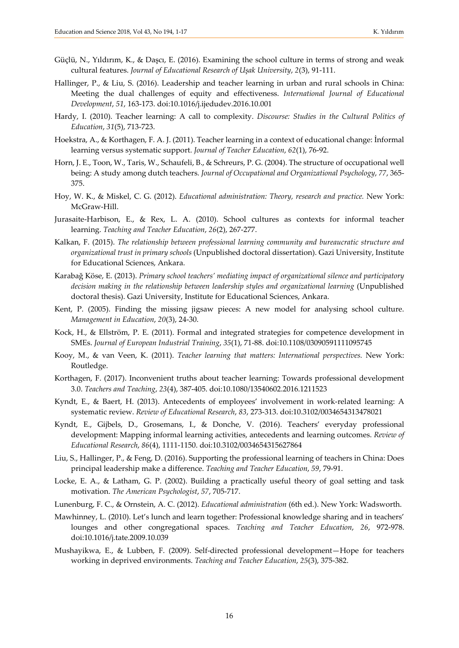- Güçlü, N., Yıldırım, K., & Daşcı, E. (2016). Examining the school culture in terms of strong and weak cultural features. *Journal of Educational Research of Uşak University*, *2*(3), 91-111.
- Hallinger, P., & Liu, S. (2016). Leadership and teacher learning in urban and rural schools in China: Meeting the dual challenges of equity and effectiveness. *International Journal of Educational Development*, *51*, 163-173. doi:10.1016/j.ijedudev.2016.10.001
- Hardy, I. (2010). Teacher learning: A call to complexity. *Discourse: Studies in the Cultural Politics of Education*, *31*(5), 713-723.
- Hoekstra, A., & Korthagen, F. A. J. (2011). Teacher learning in a context of educational change: İnformal learning versus systematic support. *Journal of Teacher Education*, *62*(1), 76-92.
- Horn, J. E., Toon, W., Taris, W., Schaufeli, B., & Schreurs, P. G. (2004). The structure of occupational well being: A study among dutch teachers. *Journal of Occupational and Organizational Psychology*, *77*, 365- 375.
- Hoy, W. K., & Miskel, C. G. (2012). *Educational administration: Theory, research and practice.* New York: McGraw-Hill.
- Jurasaite-Harbison, E., & Rex, L. A. (2010). School cultures as contexts for informal teacher learning. *Teaching and Teacher Education*, *26*(2), 267-277.
- Kalkan, F. (2015). *The relationship between professional learning community and bureaucratic structure and organizational trust in primary schools* (Unpublished doctoral dissertation). Gazi University, Institute for Educational Sciences, Ankara.
- Karabağ Köse, E. (2013). *Primary school teachers' mediating impact of organizational silence and participatory decision making in the relationship between leadership styles and organizational learning* (Unpublished doctoral thesis). Gazi University, Institute for Educational Sciences, Ankara.
- Kent, P. (2005). Finding the missing jigsaw pieces: A new model for analysing school culture. *Management in Education*, *20*(3), 24-30.
- Kock, H., & Ellström, P. E. (2011). Formal and integrated strategies for competence development in SMEs. *Journal of European Industrial Training*, *35*(1), 71-88. doi:10.1108/03090591111095745
- Kooy, M., & van Veen, K. (2011). *Teacher learning that matters: International perspectives.* New York: Routledge.
- Korthagen, F. (2017). Inconvenient truths about teacher learning: Towards professional development 3.0. *Teachers and Teaching*, *23*(4), 387-405. doi:10.1080/13540602.2016.1211523
- Kyndt, E., & Baert, H. (2013). Antecedents of employees' involvement in work-related learning: A systematic review. *Review of Educational Research*, *83*, 273-313. doi:10.3102/0034654313478021
- Kyndt, E., Gijbels, D., Grosemans, I., & Donche, V. (2016). Teachers' everyday professional development: Mapping informal learning activities, antecedents and learning outcomes. *Review of Educational Research*, *86*(4), 1111-1150. doi:10.3102/0034654315627864
- Liu, S., Hallinger, P., & Feng, D. (2016). Supporting the professional learning of teachers in China: Does principal leadership make a difference. *Teaching and Teacher Education*, *59*, 79-91.
- Locke, E. A., & Latham, G. P. (2002). Building a practically useful theory of goal setting and task motivation. *The American Psychologist*, *57*, 705-717.
- Lunenburg, F. C., & Ornstein, A. C. (2012). *Educational administration* (6th ed.). New York: Wadsworth.
- Mawhinney, L. (2010). Let's lunch and learn together: Professional knowledge sharing and in teachers' lounges and other congregational spaces. *Teaching and Teacher Education*, *26*, 972-978. doi:10.1016/j.tate.2009.10.039
- Mushayikwa, E., & Lubben, F. (2009). Self-directed professional development—Hope for teachers working in deprived environments. *Teaching and Teacher Education*, *25*(3), 375-382.